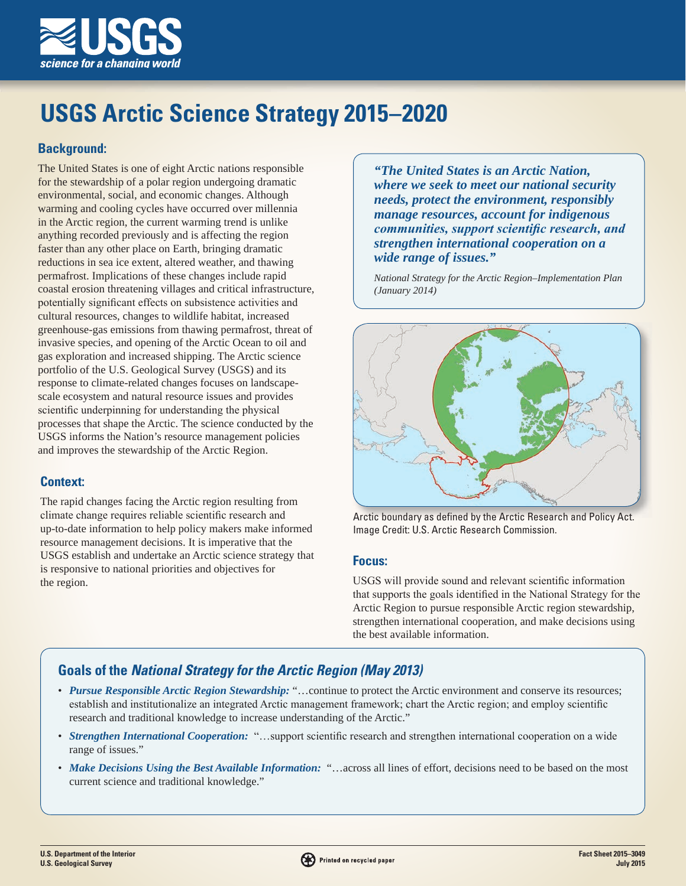

# **USGS Arctic Science Strategy 2015–2020**

## **Background:**

The United States is one of eight Arctic nations responsible for the stewardship of a polar region undergoing dramatic environmental, social, and economic changes. Although warming and cooling cycles have occurred over millennia in the Arctic region, the current warming trend is unlike anything recorded previously and is affecting the region faster than any other place on Earth, bringing dramatic reductions in sea ice extent, altered weather, and thawing permafrost. Implications of these changes include rapid coastal erosion threatening villages and critical infrastructure, potentially significant effects on subsistence activities and cultural resources, changes to wildlife habitat, increased greenhouse-gas emissions from thawing permafrost, threat of invasive species, and opening of the Arctic Ocean to oil and gas exploration and increased shipping. The Arctic science portfolio of the U.S. Geological Survey (USGS) and its response to climate-related changes focuses on landscapescale ecosystem and natural resource issues and provides scientific underpinning for understanding the physical processes that shape the Arctic. The science conducted by the USGS informs the Nation's resource management policies and improves the stewardship of the Arctic Region.

# **Context:**

The rapid changes facing the Arctic region resulting from climate change requires reliable scientific research and up-to-date information to help policy makers make informed resource management decisions. It is imperative that the USGS establish and undertake an Arctic science strategy that is responsive to national priorities and objectives for the region.

*"The United States is an Arctic Nation, where we seek to meet our national security needs, protect the environment, responsibly manage resources, account for indigenous communities, support scientific research, and strengthen international cooperation on a wide range of issues."*

*National Strategy for the Arctic Region–Implementation Plan (January 2014)*



Arctic boundary as defined by the Arctic Research and Policy Act. Image Credit: U.S. Arctic Research Commission.

## **Focus:**

USGS will provide sound and relevant scientific information that supports the goals identified in the National Strategy for the Arctic Region to pursue responsible Arctic region stewardship, strengthen international cooperation, and make decisions using the best available information.

# **Goals of the** *National Strategy for the Arctic Region (May 2013)*

- *Pursue Responsible Arctic Region Stewardship:* "...continue to protect the Arctic environment and conserve its resources; establish and institutionalize an integrated Arctic management framework; chart the Arctic region; and employ scientific research and traditional knowledge to increase understanding of the Arctic."
- *Strengthen International Cooperation:* "…support scientific research and strengthen international cooperation on a wide range of issues."
- *Make Decisions Using the Best Available Information:* "...across all lines of effort, decisions need to be based on the most current science and traditional knowledge."